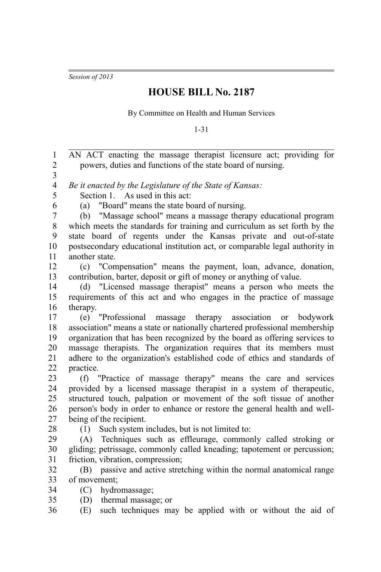*Session of 2013*

## **HOUSE BILL No. 2187**

By Committee on Health and Human Services

1-31

AN ACT enacting the massage therapist licensure act; providing for powers, duties and functions of the state board of nursing. *Be it enacted by the Legislature of the State of Kansas:* Section 1. As used in this act: (a) "Board" means the state board of nursing. (b) "Massage school" means a massage therapy educational program which meets the standards for training and curriculum as set forth by the state board of regents under the Kansas private and out-of-state postsecondary educational institution act, or comparable legal authority in another state. (c) "Compensation" means the payment, loan, advance, donation, contribution, barter, deposit or gift of money or anything of value. (d) "Licensed massage therapist" means a person who meets the requirements of this act and who engages in the practice of massage therapy. (e) "Professional massage therapy association or bodywork association" means a state or nationally chartered professional membership organization that has been recognized by the board as offering services to massage therapists. The organization requires that its members must adhere to the organization's established code of ethics and standards of practice. (f) "Practice of massage therapy" means the care and services provided by a licensed massage therapist in a system of therapeutic, structured touch, palpation or movement of the soft tissue of another person's body in order to enhance or restore the general health and wellbeing of the recipient. (1) Such system includes, but is not limited to: (A) Techniques such as effleurage, commonly called stroking or gliding; petrissage, commonly called kneading; tapotement or percussion; friction, vibration, compression; (B) passive and active stretching within the normal anatomical range of movement; (C) hydromassage; (D) thermal massage; or (E) such techniques may be applied with or without the aid of 1 2 3 4 5 6 7 8 9 10 11 12 13 14 15 16 17 18 19 20 21 22 23 24 25 26 27 28 29 30 31 32 33 34 35 36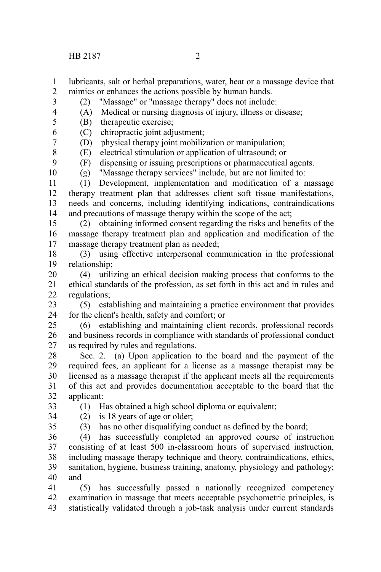HB 2187 2

- lubricants, salt or herbal preparations, water, heat or a massage device that mimics or enhances the actions possible by human hands. 1 2
- (2) "Massage" or "massage therapy" does not include: 3
- (A) Medical or nursing diagnosis of injury, illness or disease; 4
- (B) therapeutic exercise; 5
- (C) chiropractic joint adjustment; 6
	- (D) physical therapy joint mobilization or manipulation;
	- (E) electrical stimulation or application of ultrasound; or
		- (F) dispensing or issuing prescriptions or pharmaceutical agents.
	- (g) "Massage therapy services" include, but are not limited to:

(1) Development, implementation and modification of a massage therapy treatment plan that addresses client soft tissue manifestations, needs and concerns, including identifying indications, contraindications and precautions of massage therapy within the scope of the act; 11 12 13 14

(2) obtaining informed consent regarding the risks and benefits of the massage therapy treatment plan and application and modification of the massage therapy treatment plan as needed; 15 16 17

(3) using effective interpersonal communication in the professional relationship; 18 19

(4) utilizing an ethical decision making process that conforms to the ethical standards of the profession, as set forth in this act and in rules and regulations; 20 21 22

(5) establishing and maintaining a practice environment that provides for the client's health, safety and comfort; or 23 24

(6) establishing and maintaining client records, professional records and business records in compliance with standards of professional conduct as required by rules and regulations. 25 26 27

Sec. 2. (a) Upon application to the board and the payment of the required fees, an applicant for a license as a massage therapist may be licensed as a massage therapist if the applicant meets all the requirements of this act and provides documentation acceptable to the board that the applicant: 28 29 30 31 32

(1) Has obtained a high school diploma or equivalent; (2) is 18 years of age or older;

- 33 34
- 35

(3) has no other disqualifying conduct as defined by the board;

(4) has successfully completed an approved course of instruction consisting of at least 500 in-classroom hours of supervised instruction, including massage therapy technique and theory, contraindications, ethics, sanitation, hygiene, business training, anatomy, physiology and pathology; and 36 37 38 39 40

(5) has successfully passed a nationally recognized competency examination in massage that meets acceptable psychometric principles, is statistically validated through a job-task analysis under current standards 41 42 43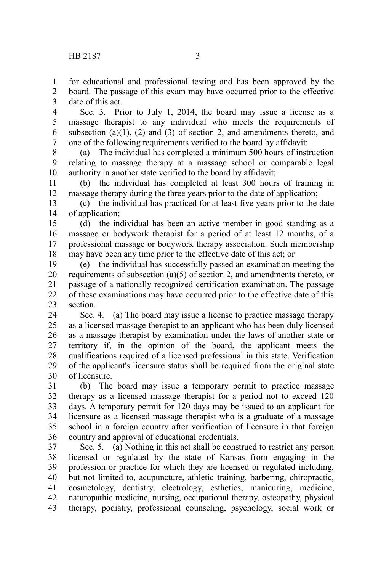for educational and professional testing and has been approved by the board. The passage of this exam may have occurred prior to the effective 1 2

date of this act. 3

Sec. 3. Prior to July 1, 2014, the board may issue a license as a massage therapist to any individual who meets the requirements of subsection (a) $(1)$ , (2) and (3) of section 2, and amendments thereto, and one of the following requirements verified to the board by affidavit: 4 5 6 7

(a) The individual has completed a minimum 500 hours of instruction relating to massage therapy at a massage school or comparable legal authority in another state verified to the board by affidavit; 8 9 10

(b) the individual has completed at least 300 hours of training in massage therapy during the three years prior to the date of application; 11 12

(c) the individual has practiced for at least five years prior to the date of application; 13 14

(d) the individual has been an active member in good standing as a massage or bodywork therapist for a period of at least 12 months, of a professional massage or bodywork therapy association. Such membership may have been any time prior to the effective date of this act; or 15 16 17 18

(e) the individual has successfully passed an examination meeting the requirements of subsection (a)(5) of section 2, and amendments thereto, or passage of a nationally recognized certification examination. The passage of these examinations may have occurred prior to the effective date of this section. 19 20 21 22 23

Sec. 4. (a) The board may issue a license to practice massage therapy as a licensed massage therapist to an applicant who has been duly licensed as a massage therapist by examination under the laws of another state or territory if, in the opinion of the board, the applicant meets the qualifications required of a licensed professional in this state. Verification of the applicant's licensure status shall be required from the original state of licensure. 24 25 26 27 28 29 30

(b) The board may issue a temporary permit to practice massage therapy as a licensed massage therapist for a period not to exceed 120 days. A temporary permit for 120 days may be issued to an applicant for licensure as a licensed massage therapist who is a graduate of a massage school in a foreign country after verification of licensure in that foreign country and approval of educational credentials. 31 32 33 34 35 36

Sec. 5. (a) Nothing in this act shall be construed to restrict any person licensed or regulated by the state of Kansas from engaging in the profession or practice for which they are licensed or regulated including, but not limited to, acupuncture, athletic training, barbering, chiropractic, cosmetology, dentistry, electrology, esthetics, manicuring, medicine, naturopathic medicine, nursing, occupational therapy, osteopathy, physical therapy, podiatry, professional counseling, psychology, social work or 37 38 39 40 41 42 43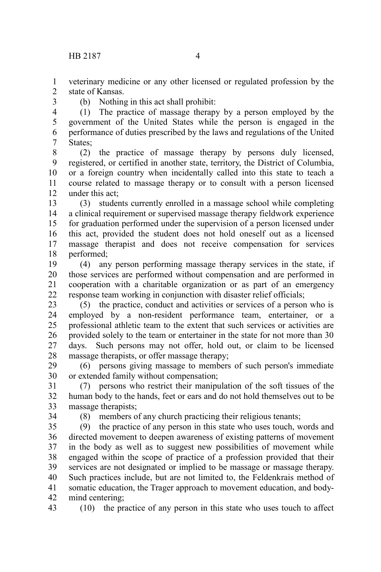veterinary medicine or any other licensed or regulated profession by the state of Kansas. 1  $\mathcal{L}$ 

3

(b) Nothing in this act shall prohibit:

(1) The practice of massage therapy by a person employed by the government of the United States while the person is engaged in the performance of duties prescribed by the laws and regulations of the United States: 4 5 6 7

(2) the practice of massage therapy by persons duly licensed, registered, or certified in another state, territory, the District of Columbia, or a foreign country when incidentally called into this state to teach a course related to massage therapy or to consult with a person licensed under this act; 8 9 10 11 12

(3) students currently enrolled in a massage school while completing a clinical requirement or supervised massage therapy fieldwork experience for graduation performed under the supervision of a person licensed under this act, provided the student does not hold oneself out as a licensed massage therapist and does not receive compensation for services performed; 13 14 15 16 17 18

(4) any person performing massage therapy services in the state, if those services are performed without compensation and are performed in cooperation with a charitable organization or as part of an emergency response team working in conjunction with disaster relief officials; 19 20 21 22

(5) the practice, conduct and activities or services of a person who is employed by a non-resident performance team, entertainer, or a professional athletic team to the extent that such services or activities are provided solely to the team or entertainer in the state for not more than 30 days. Such persons may not offer, hold out, or claim to be licensed massage therapists, or offer massage therapy; 23 24 25 26 27 28

(6) persons giving massage to members of such person's immediate or extended family without compensation; 29 30

(7) persons who restrict their manipulation of the soft tissues of the human body to the hands, feet or ears and do not hold themselves out to be massage therapists; 31 32 33

34

(8) members of any church practicing their religious tenants;

(9) the practice of any person in this state who uses touch, words and directed movement to deepen awareness of existing patterns of movement in the body as well as to suggest new possibilities of movement while engaged within the scope of practice of a profession provided that their services are not designated or implied to be massage or massage therapy. Such practices include, but are not limited to, the Feldenkrais method of somatic education, the Trager approach to movement education, and bodymind centering; 35 36 37 38 39 40 41 42

(10) the practice of any person in this state who uses touch to affect 43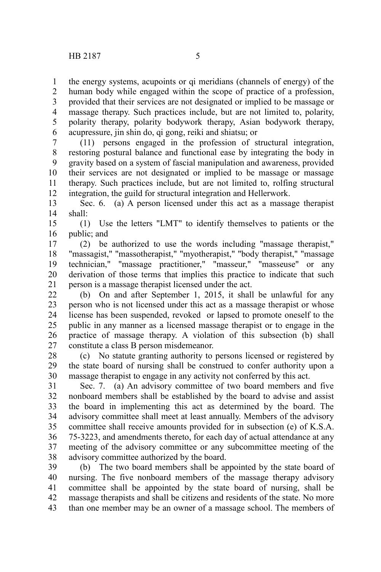the energy systems, acupoints or qi meridians (channels of energy) of the 1

human body while engaged within the scope of practice of a profession, provided that their services are not designated or implied to be massage or massage therapy. Such practices include, but are not limited to, polarity, polarity therapy, polarity bodywork therapy, Asian bodywork therapy, acupressure, jin shin do, qi gong, reiki and shiatsu; or 2 3 4 5 6

(11) persons engaged in the profession of structural integration, restoring postural balance and functional ease by integrating the body in gravity based on a system of fascial manipulation and awareness, provided their services are not designated or implied to be massage or massage therapy. Such practices include, but are not limited to, rolfing structural integration, the guild for structural integration and Hellerwork. 7 8 9 10 11 12

Sec. 6. (a) A person licensed under this act as a massage therapist shall: 13 14

(1) Use the letters "LMT" to identify themselves to patients or the public; and 15 16

(2) be authorized to use the words including "massage therapist," "massagist," "massotherapist," "myotherapist," "body therapist," "massage technician," "massage practitioner," "masseur," "masseuse" or any derivation of those terms that implies this practice to indicate that such person is a massage therapist licensed under the act. 17 18 19 20 21

(b) On and after September 1, 2015, it shall be unlawful for any person who is not licensed under this act as a massage therapist or whose license has been suspended, revoked or lapsed to promote oneself to the public in any manner as a licensed massage therapist or to engage in the practice of massage therapy. A violation of this subsection (b) shall constitute a class B person misdemeanor. 22 23 24 25 26 27

(c) No statute granting authority to persons licensed or registered by the state board of nursing shall be construed to confer authority upon a massage therapist to engage in any activity not conferred by this act. 28 29 30

Sec. 7. (a) An advisory committee of two board members and five nonboard members shall be established by the board to advise and assist the board in implementing this act as determined by the board. The advisory committee shall meet at least annually. Members of the advisory committee shall receive amounts provided for in subsection (e) of K.S.A. 75-3223, and amendments thereto, for each day of actual attendance at any meeting of the advisory committee or any subcommittee meeting of the advisory committee authorized by the board. 31 32 33 34 35 36 37 38

(b) The two board members shall be appointed by the state board of nursing. The five nonboard members of the massage therapy advisory committee shall be appointed by the state board of nursing, shall be massage therapists and shall be citizens and residents of the state. No more than one member may be an owner of a massage school. The members of 39 40 41 42 43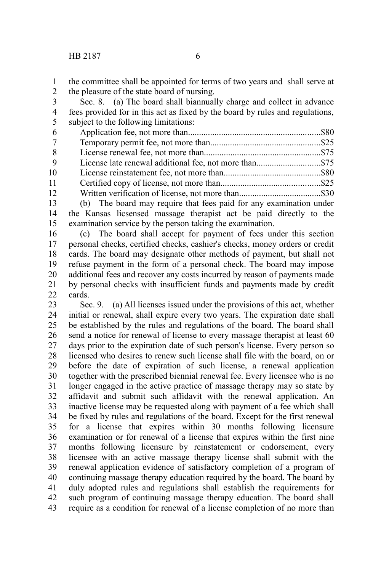the committee shall be appointed for terms of two years and shall serve at the pleasure of the state board of nursing. 1 2

Sec. 8. (a) The board shall biannually charge and collect in advance fees provided for in this act as fixed by the board by rules and regulations, subject to the following limitations: 3 4 5

| 6      |                                                                                                                                                                                                                                                                                                                                                                                                              |  |
|--------|--------------------------------------------------------------------------------------------------------------------------------------------------------------------------------------------------------------------------------------------------------------------------------------------------------------------------------------------------------------------------------------------------------------|--|
| 7      |                                                                                                                                                                                                                                                                                                                                                                                                              |  |
| 8      |                                                                                                                                                                                                                                                                                                                                                                                                              |  |
| - 9    | License late renewal additional fee, not more than\$75                                                                                                                                                                                                                                                                                                                                                       |  |
| 10     |                                                                                                                                                                                                                                                                                                                                                                                                              |  |
| 11     |                                                                                                                                                                                                                                                                                                                                                                                                              |  |
| 12     |                                                                                                                                                                                                                                                                                                                                                                                                              |  |
| $\sim$ | $\mathcal{A} \times \mathcal{A}$ and $\mathcal{A} \times \mathcal{A}$ and $\mathcal{A} \times \mathcal{A}$ and $\mathcal{A} \times \mathcal{A}$ and $\mathcal{A} \times \mathcal{A}$ and $\mathcal{A} \times \mathcal{A}$ and $\mathcal{A} \times \mathcal{A}$ and $\mathcal{A} \times \mathcal{A}$ and $\mathcal{A} \times \mathcal{A}$ and $\mathcal{A} \times \mathcal{A}$ and $\mathcal{A} \times \math$ |  |

(b) The board may require that fees paid for any examination under the Kansas licsensed massage therapist act be paid directly to the examination service by the person taking the examination. 13 14 15

(c) The board shall accept for payment of fees under this section personal checks, certified checks, cashier's checks, money orders or credit cards. The board may designate other methods of payment, but shall not refuse payment in the form of a personal check. The board may impose additional fees and recover any costs incurred by reason of payments made by personal checks with insufficient funds and payments made by credit cards. 16 17 18 19 20 21  $22$ 

Sec. 9. (a) All licenses issued under the provisions of this act, whether initial or renewal, shall expire every two years. The expiration date shall be established by the rules and regulations of the board. The board shall send a notice for renewal of license to every massage therapist at least 60 days prior to the expiration date of such person's license. Every person so licensed who desires to renew such license shall file with the board, on or before the date of expiration of such license, a renewal application together with the prescribed biennial renewal fee. Every licensee who is no longer engaged in the active practice of massage therapy may so state by affidavit and submit such affidavit with the renewal application. An inactive license may be requested along with payment of a fee which shall be fixed by rules and regulations of the board. Except for the first renewal for a license that expires within 30 months following licensure examination or for renewal of a license that expires within the first nine months following licensure by reinstatement or endorsement, every licensee with an active massage therapy license shall submit with the renewal application evidence of satisfactory completion of a program of continuing massage therapy education required by the board. The board by duly adopted rules and regulations shall establish the requirements for such program of continuing massage therapy education. The board shall require as a condition for renewal of a license completion of no more than 23 24 25 26 27 28 29 30 31 32 33 34 35 36 37 38 39 40 41 42 43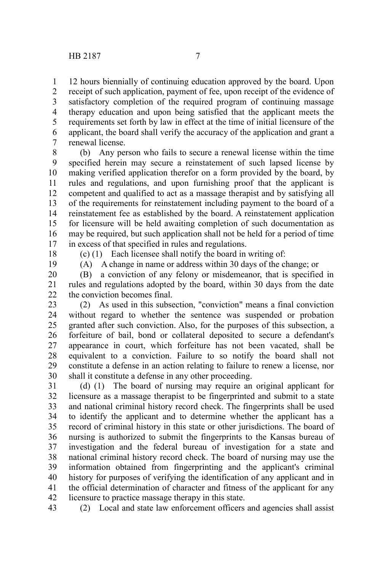12 hours biennially of continuing education approved by the board. Upon receipt of such application, payment of fee, upon receipt of the evidence of satisfactory completion of the required program of continuing massage therapy education and upon being satisfied that the applicant meets the requirements set forth by law in effect at the time of initial licensure of the applicant, the board shall verify the accuracy of the application and grant a renewal license. 1 2 3 4 5 6 7

(b) Any person who fails to secure a renewal license within the time specified herein may secure a reinstatement of such lapsed license by making verified application therefor on a form provided by the board, by rules and regulations, and upon furnishing proof that the applicant is competent and qualified to act as a massage therapist and by satisfying all of the requirements for reinstatement including payment to the board of a reinstatement fee as established by the board. A reinstatement application for licensure will be held awaiting completion of such documentation as may be required, but such application shall not be held for a period of time in excess of that specified in rules and regulations. 8 9 10 11 12 13 14 15 16 17

18 19 (c) (1) Each licensee shall notify the board in writing of:

(A) A change in name or address within 30 days of the change; or

(B) a conviction of any felony or misdemeanor, that is specified in rules and regulations adopted by the board, within 30 days from the date the conviction becomes final. 20 21 22

(2) As used in this subsection, "conviction" means a final conviction without regard to whether the sentence was suspended or probation granted after such conviction. Also, for the purposes of this subsection, a forfeiture of bail, bond or collateral deposited to secure a defendant's appearance in court, which forfeiture has not been vacated, shall be equivalent to a conviction. Failure to so notify the board shall not constitute a defense in an action relating to failure to renew a license, nor shall it constitute a defense in any other proceeding. 23 24 25 26 27 28 29 30

(d) (1) The board of nursing may require an original applicant for licensure as a massage therapist to be fingerprinted and submit to a state and national criminal history record check. The fingerprints shall be used to identify the applicant and to determine whether the applicant has a record of criminal history in this state or other jurisdictions. The board of nursing is authorized to submit the fingerprints to the Kansas bureau of investigation and the federal bureau of investigation for a state and national criminal history record check. The board of nursing may use the information obtained from fingerprinting and the applicant's criminal history for purposes of verifying the identification of any applicant and in the official determination of character and fitness of the applicant for any licensure to practice massage therapy in this state. 31 32 33 34 35 36 37 38 39 40 41 42

(2) Local and state law enforcement officers and agencies shall assist 43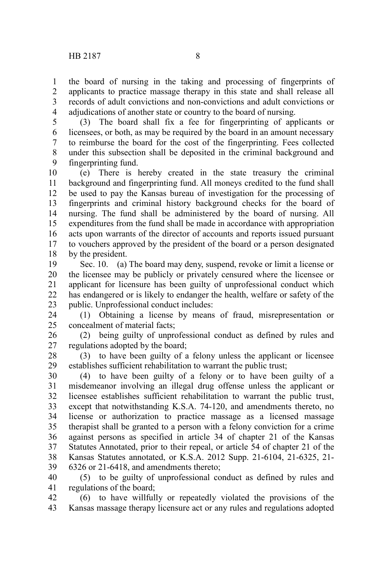the board of nursing in the taking and processing of fingerprints of applicants to practice massage therapy in this state and shall release all records of adult convictions and non-convictions and adult convictions or adjudications of another state or country to the board of nursing. 1 2 3 4

(3) The board shall fix a fee for fingerprinting of applicants or licensees, or both, as may be required by the board in an amount necessary to reimburse the board for the cost of the fingerprinting. Fees collected under this subsection shall be deposited in the criminal background and fingerprinting fund. 5 6 7 8 9

(e) There is hereby created in the state treasury the criminal background and fingerprinting fund. All moneys credited to the fund shall be used to pay the Kansas bureau of investigation for the processing of fingerprints and criminal history background checks for the board of nursing. The fund shall be administered by the board of nursing. All expenditures from the fund shall be made in accordance with appropriation acts upon warrants of the director of accounts and reports issued pursuant to vouchers approved by the president of the board or a person designated by the president. 10 11 12 13 14 15 16 17 18

Sec. 10. (a) The board may deny, suspend, revoke or limit a license or the licensee may be publicly or privately censured where the licensee or applicant for licensure has been guilty of unprofessional conduct which has endangered or is likely to endanger the health, welfare or safety of the public. Unprofessional conduct includes: 19 20 21 22 23

(1) Obtaining a license by means of fraud, misrepresentation or concealment of material facts; 24 25

(2) being guilty of unprofessional conduct as defined by rules and regulations adopted by the board; 26 27

(3) to have been guilty of a felony unless the applicant or licensee establishes sufficient rehabilitation to warrant the public trust; 28 29

(4) to have been guilty of a felony or to have been guilty of a misdemeanor involving an illegal drug offense unless the applicant or licensee establishes sufficient rehabilitation to warrant the public trust, except that notwithstanding K.S.A. 74-120, and amendments thereto, no license or authorization to practice massage as a licensed massage therapist shall be granted to a person with a felony conviction for a crime against persons as specified in article 34 of chapter 21 of the Kansas Statutes Annotated, prior to their repeal, or article 54 of chapter 21 of the Kansas Statutes annotated, or K.S.A. 2012 Supp. 21-6104, 21-6325, 21- 6326 or 21-6418, and amendments thereto; 30 31 32 33 34 35 36 37 38 39

(5) to be guilty of unprofessional conduct as defined by rules and regulations of the board; 40 41

(6) to have willfully or repeatedly violated the provisions of the Kansas massage therapy licensure act or any rules and regulations adopted 42 43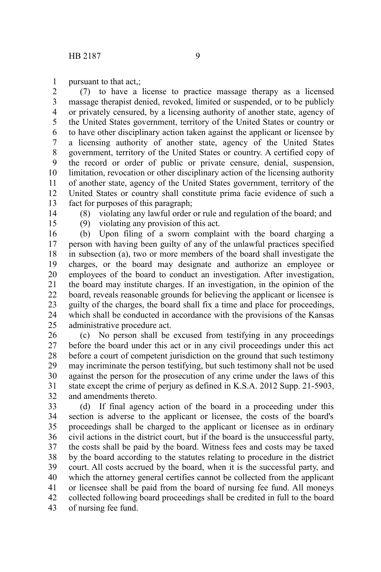pursuant to that act,;

(7) to have a license to practice massage therapy as a licensed massage therapist denied, revoked, limited or suspended, or to be publicly or privately censured, by a licensing authority of another state, agency of the United States government, territory of the United States or country or to have other disciplinary action taken against the applicant or licensee by a licensing authority of another state, agency of the United States government, territory of the United States or country. A certified copy of the record or order of public or private censure, denial, suspension, limitation, revocation or other disciplinary action of the licensing authority of another state, agency of the United States government, territory of the United States or country shall constitute prima facie evidence of such a fact for purposes of this paragraph; 2 3 4 5 6 7 8 9 10 11 12 13

14

1

(8) violating any lawful order or rule and regulation of the board; and

15

(9) violating any provision of this act.

(b) Upon filing of a sworn complaint with the board charging a person with having been guilty of any of the unlawful practices specified in subsection (a), two or more members of the board shall investigate the charges, or the board may designate and authorize an employee or employees of the board to conduct an investigation. After investigation, the board may institute charges. If an investigation, in the opinion of the board, reveals reasonable grounds for believing the applicant or licensee is guilty of the charges, the board shall fix a time and place for proceedings, which shall be conducted in accordance with the provisions of the Kansas administrative procedure act. 16 17 18 19 20 21 22 23 24 25

(c) No person shall be excused from testifying in any proceedings before the board under this act or in any civil proceedings under this act before a court of competent jurisdiction on the ground that such testimony may incriminate the person testifying, but such testimony shall not be used against the person for the prosecution of any crime under the laws of this state except the crime of perjury as defined in K.S.A. 2012 Supp. 21-5903, and amendments thereto. 26 27 28 29 30 31 32

(d) If final agency action of the board in a proceeding under this section is adverse to the applicant or licensee, the costs of the board's proceedings shall be charged to the applicant or licensee as in ordinary civil actions in the district court, but if the board is the unsuccessful party, the costs shall be paid by the board. Witness fees and costs may be taxed by the board according to the statutes relating to procedure in the district court. All costs accrued by the board, when it is the successful party, and which the attorney general certifies cannot be collected from the applicant or licensee shall be paid from the board of nursing fee fund. All moneys collected following board proceedings shall be credited in full to the board of nursing fee fund. 33 34 35 36 37 38 39 40 41 42 43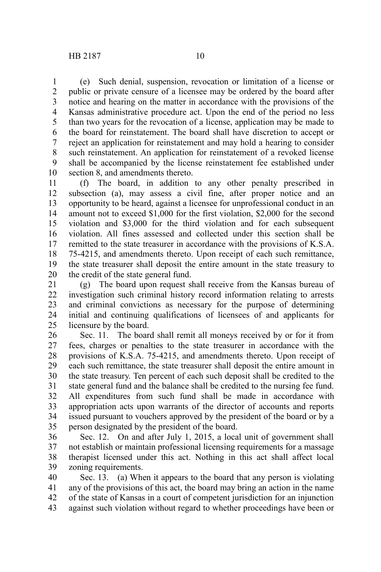(e) Such denial, suspension, revocation or limitation of a license or public or private censure of a licensee may be ordered by the board after notice and hearing on the matter in accordance with the provisions of the Kansas administrative procedure act. Upon the end of the period no less than two years for the revocation of a license, application may be made to the board for reinstatement. The board shall have discretion to accept or reject an application for reinstatement and may hold a hearing to consider such reinstatement. An application for reinstatement of a revoked license shall be accompanied by the license reinstatement fee established under section 8, and amendments thereto. 1 2 3 4 5 6 7 8 9 10

(f) The board, in addition to any other penalty prescribed in subsection (a), may assess a civil fine, after proper notice and an opportunity to be heard, against a licensee for unprofessional conduct in an amount not to exceed \$1,000 for the first violation, \$2,000 for the second violation and \$3,000 for the third violation and for each subsequent violation. All fines assessed and collected under this section shall be remitted to the state treasurer in accordance with the provisions of K.S.A. 75-4215, and amendments thereto. Upon receipt of each such remittance, the state treasurer shall deposit the entire amount in the state treasury to the credit of the state general fund. 11 12 13 14 15 16 17 18 19 20

(g) The board upon request shall receive from the Kansas bureau of investigation such criminal history record information relating to arrests and criminal convictions as necessary for the purpose of determining initial and continuing qualifications of licensees of and applicants for licensure by the board. 21 22 23 24 25

Sec. 11. The board shall remit all moneys received by or for it from fees, charges or penalties to the state treasurer in accordance with the provisions of K.S.A. 75-4215, and amendments thereto. Upon receipt of each such remittance, the state treasurer shall deposit the entire amount in the state treasury. Ten percent of each such deposit shall be credited to the state general fund and the balance shall be credited to the nursing fee fund. All expenditures from such fund shall be made in accordance with appropriation acts upon warrants of the director of accounts and reports issued pursuant to vouchers approved by the president of the board or by a person designated by the president of the board. 26 27 28 29 30 31 32 33 34 35

Sec. 12. On and after July 1, 2015, a local unit of government shall not establish or maintain professional licensing requirements for a massage therapist licensed under this act. Nothing in this act shall affect local zoning requirements. 36 37 38 39

Sec. 13. (a) When it appears to the board that any person is violating any of the provisions of this act, the board may bring an action in the name of the state of Kansas in a court of competent jurisdiction for an injunction against such violation without regard to whether proceedings have been or 40 41 42 43